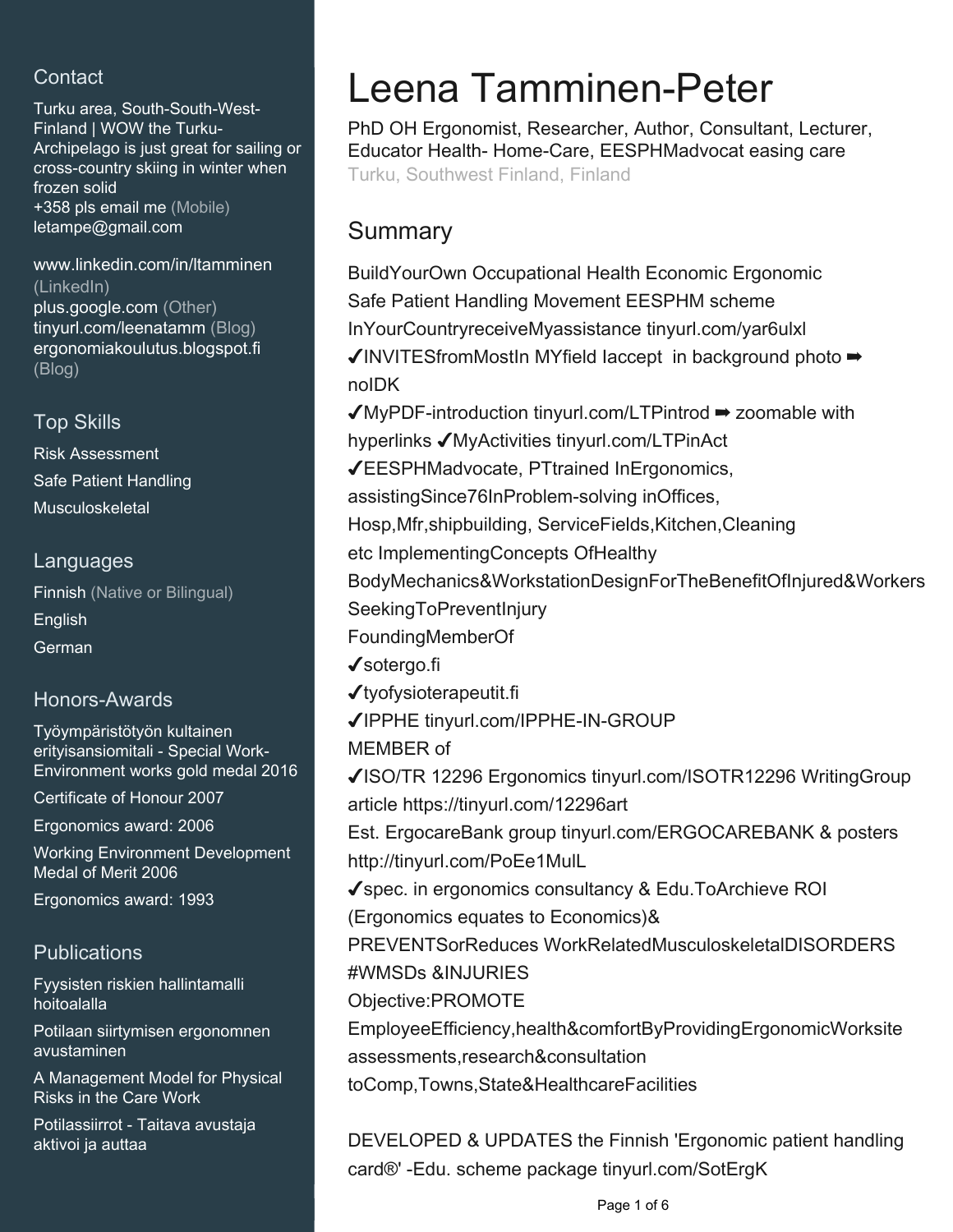# **Contact**

Turku area, South-South-West-Finland | WOW the Turku-Archipelago is just great for sailing or cross-country skiing in winter when frozen solid +358 pls email me (Mobile) [letampe@gmail.com](mailto:letampe@gmail.com)

#### [www.linkedin.com/in/ltamminen](https://www.linkedin.com/in/ltamminen?jobid=1234&lipi=urn%3Ali%3Apage%3Ad_jobs_easyapply_pdfgenresume%3BPIKchjztTDyGXo27sWyHDg%3D%3D&licu=urn%3Ali%3Acontrol%3Ad_jobs_easyapply_pdfgenresume-v02_profile) [\(LinkedIn\)](https://www.linkedin.com/in/ltamminen?jobid=1234&lipi=urn%3Ali%3Apage%3Ad_jobs_easyapply_pdfgenresume%3BPIKchjztTDyGXo27sWyHDg%3D%3D&licu=urn%3Ali%3Acontrol%3Ad_jobs_easyapply_pdfgenresume-v02_profile) [plus.google.com \(Other\)](plus.google.com/+LeenaTamminenPeter/) [tinyurl.com/leenatamm \(Blog\)](https://tinyurl.com/leenatamm) [ergonomiakoulutus.blogspot.fi](ergonomiakoulutus.blogspot.fi/) [\(Blog\)](ergonomiakoulutus.blogspot.fi/)

## Top Skills

Risk Assessment Safe Patient Handling Musculoskeletal

### Languages

Finnish (Native or Bilingual) English German

## Honors-Awards

Työympäristötyön kultainen erityisansiomitali - Special Work-Environment works gold medal 2016

Certificate of Honour 2007

Ergonomics award: 2006

Working Environment Development Medal of Merit 2006

Ergonomics award: 1993

## **Publications**

Fyysisten riskien hallintamalli hoitoalalla

Potilaan siirtymisen ergonomnen avustaminen

A Management Model for Physical Risks in the Care Work

Potilassiirrot - Taitava avustaja aktivoi ja auttaa

# Leena Tamminen-Peter

PhD OH Ergonomist, Researcher, Author, Consultant, Lecturer, Educator Health- Home-Care, EESPHMadvocat easing care Turku, Southwest Finland, Finland

# Summary

BuildYourOwn Occupational Health Economic Ergonomic Safe Patient Handling Movement EESPHM scheme InYourCountryreceiveMyassistance tinyurl.com/yar6ulxl ✔INVITESfromMostIn MYfield Iaccept in background photo ➡ noIDK ✔MyPDF-introduction tinyurl.com/LTPintrod ➡ zoomable with

hyperlinks ✔MyActivities tinyurl.com/LTPinAct

✔EESPHMadvocate, PTtrained InErgonomics,

assistingSince76InProblem-solving inOffices,

Hosp,Mfr,shipbuilding, ServiceFields,Kitchen,Cleaning

etc ImplementingConcepts OfHealthy

BodyMechanics&WorkstationDesignForTheBenefitOfInjured&Workers SeekingToPreventInjury

FoundingMemberOf

✔sotergo.fi

✔tyofysioterapeutit.fi

- ✔IPPHE tinyurl.com/IPPHE-IN-GROUP
- MEMBER of

✔ISO/TR 12296 Ergonomics tinyurl.com/ISOTR12296 WritingGroup article https://tinyurl.com/12296art

Est. ErgocareBank group tinyurl.com/ERGOCAREBANK & posters http://tinyurl.com/PoEe1MulL

✔spec. in ergonomics consultancy & Edu.ToArchieve ROI

(Ergonomics equates to Economics)&

PREVENTSorReduces WorkRelatedMusculoskeletalDISORDERS #WMSDs &INJURIES

Objective:PROMOTE

EmployeeEfficiency,health&comfortByProvidingErgonomicWorksite

assessments,research&consultation

toComp,Towns,State&HealthcareFacilities

DEVELOPED & UPDATES the Finnish 'Ergonomic patient handling card®' -Edu. scheme package tinyurl.com/SotErgK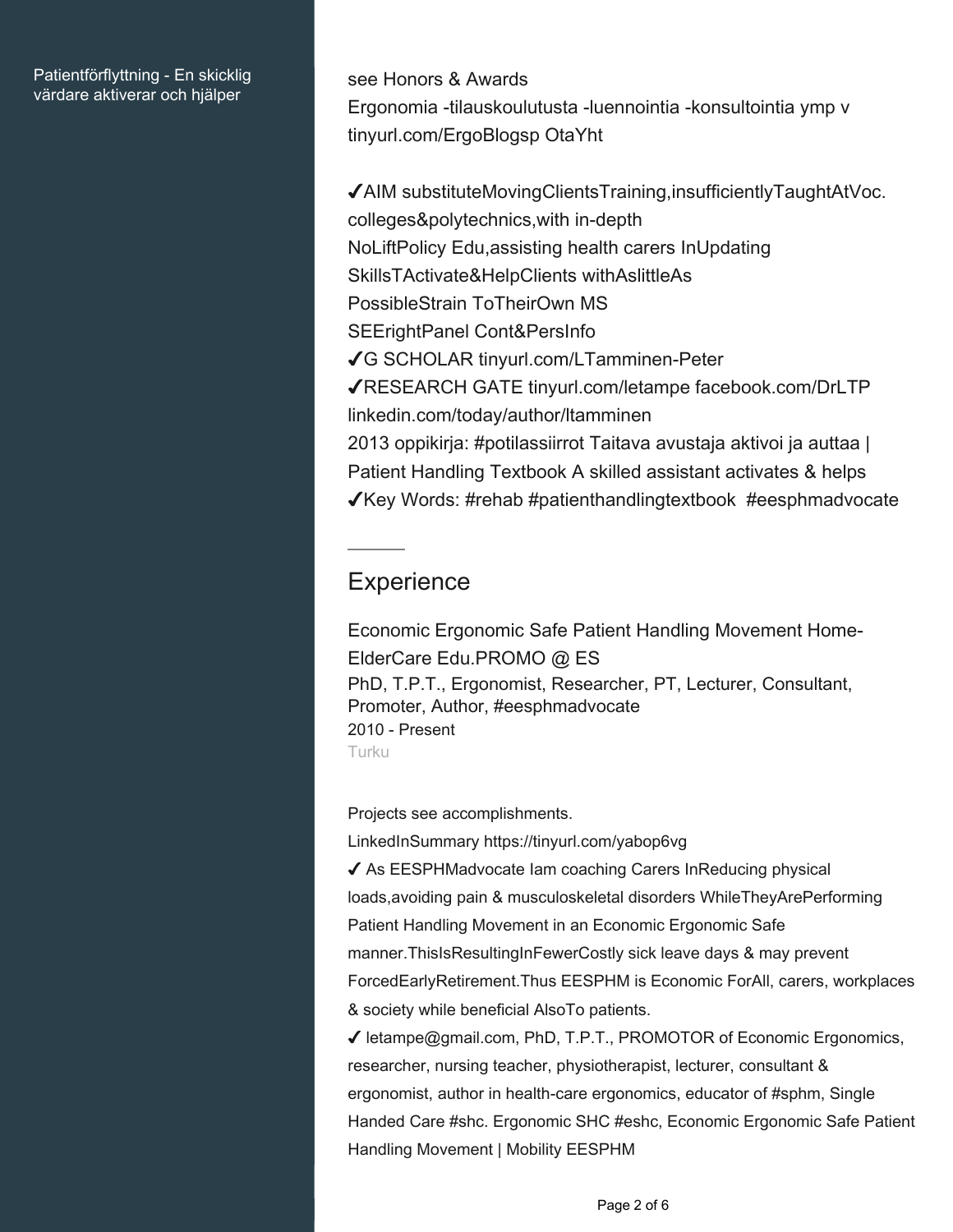#### Patientförflyttning - En skicklig värdare aktiverar och hjälper

see Honors & Awards Ergonomia -tilauskoulutusta -luennointia -konsultointia ymp v tinyurl.com/ErgoBlogsp OtaYht

✔AIM substituteMovingClientsTraining,insufficientlyTaughtAtVoc. colleges&polytechnics,with in-depth NoLiftPolicy Edu,assisting health carers InUpdating SkillsTActivate&HelpClients withAslittleAs PossibleStrain ToTheirOwn MS SEErightPanel Cont&PersInfo ✔G SCHOLAR tinyurl.com/LTamminen-Peter ✔RESEARCH GATE tinyurl.com/letampe facebook.com/DrLTP linkedin.com/today/author/ltamminen 2013 oppikirja: #potilassiirrot Taitava avustaja aktivoi ja auttaa | Patient Handling Textbook A skilled assistant activates & helps ✔Key Words: #rehab #patienthandlingtextbook #eesphmadvocate

# **Experience**

Economic Ergonomic Safe Patient Handling Movement Home-ElderCare Edu.PROMO @ ES PhD, T.P.T., Ergonomist, Researcher, PT, Lecturer, Consultant, Promoter, Author, #eesphmadvocate 2010 - Present Turku

Projects see accomplishments.

LinkedInSummary https://tinyurl.com/yabop6vg

◆ As EESPHMadvocate Iam coaching Carers InReducing physical loads,avoiding pain & musculoskeletal disorders WhileTheyArePerforming Patient Handling Movement in an Economic Ergonomic Safe manner.ThisIsResultingInFewerCostly sick leave days & may prevent ForcedEarlyRetirement.Thus EESPHM is Economic ForAll, carers, workplaces & society while beneficial AlsoTo patients.

✔ letampe@gmail.com, PhD, T.P.T., PROMOTOR of Economic Ergonomics, researcher, nursing teacher, physiotherapist, lecturer, consultant & ergonomist, author in health-care ergonomics, educator of #sphm, Single Handed Care #shc. Ergonomic SHC #eshc, Economic Ergonomic Safe Patient Handling Movement | Mobility EESPHM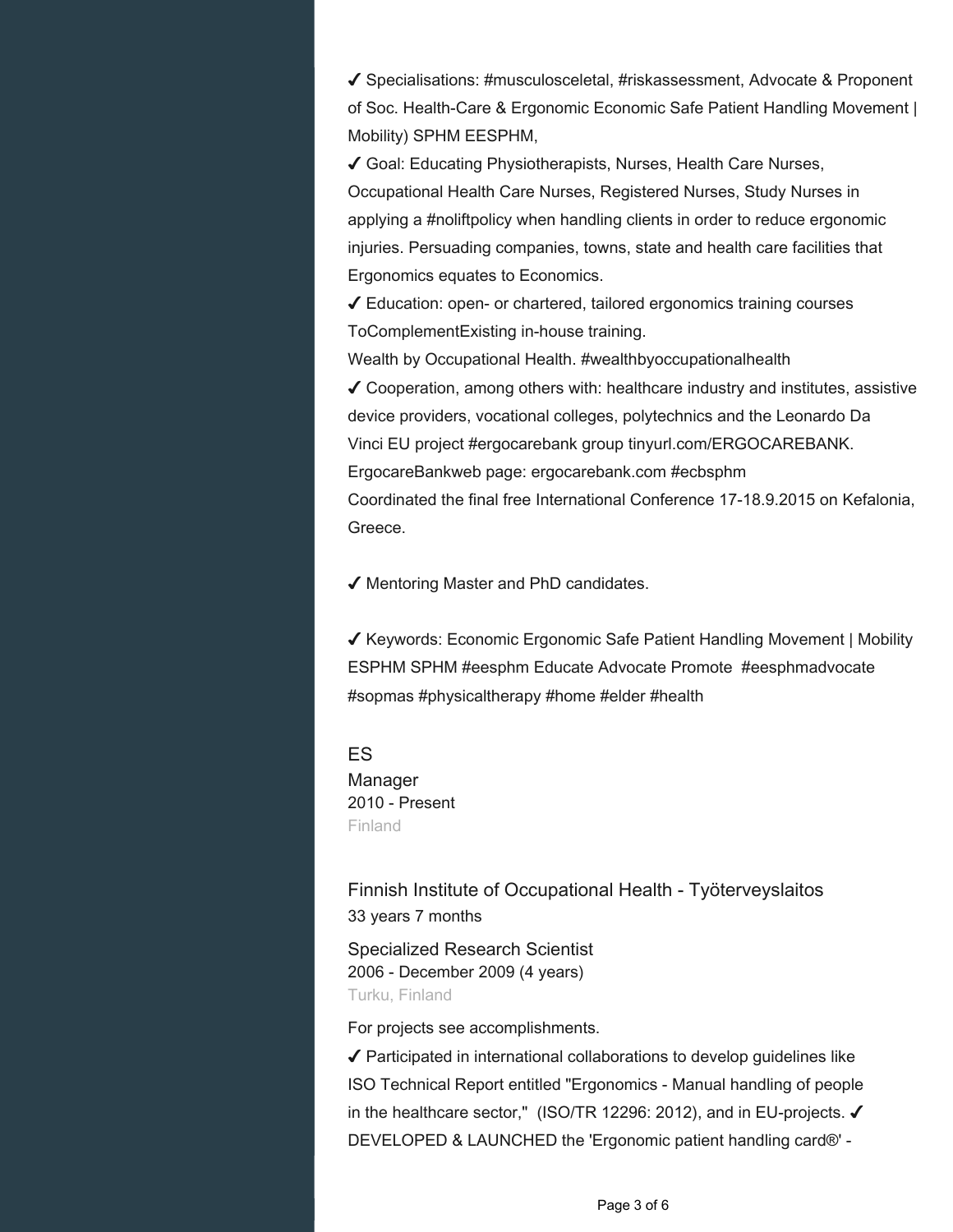✔ Specialisations: #musculosceletal, #riskassessment, Advocate & Proponent of Soc. Health-Care & Ergonomic Economic Safe Patient Handling Movement | Mobility) SPHM EESPHM,

✔ Goal: Educating Physiotherapists, Nurses, Health Care Nurses, Occupational Health Care Nurses, Registered Nurses, Study Nurses in applying a #noliftpolicy when handling clients in order to reduce ergonomic injuries. Persuading companies, towns, state and health care facilities that Ergonomics equates to Economics.

✔ Education: open- or chartered, tailored ergonomics training courses ToComplementExisting in-house training.

Wealth by Occupational Health. #wealthbyoccupationalhealth

✔ Cooperation, among others with: healthcare industry and institutes, assistive device providers, vocational colleges, polytechnics and the Leonardo Da Vinci EU project #ergocarebank group tinyurl.com/ERGOCAREBANK. ErgocareBankweb page: ergocarebank.com #ecbsphm Coordinated the final free International Conference 17-18.9.2015 on Kefalonia, Greece.

✔ Mentoring Master and PhD candidates.

✔ Keywords: Economic Ergonomic Safe Patient Handling Movement | Mobility ESPHM SPHM #eesphm Educate Advocate Promote #eesphmadvocate #sopmas #physicaltherapy #home #elder #health

#### ES

Manager 2010 - Present Finland

Finnish Institute of Occupational Health - Työterveyslaitos 33 years 7 months

Specialized Research Scientist 2006 - December 2009 (4 years) Turku, Finland

For projects see accomplishments.

 $\sqrt{\ }$  Participated in international collaborations to develop guidelines like ISO Technical Report entitled "Ergonomics - Manual handling of people in the healthcare sector," (ISO/TR 12296: 2012), and in EU-projects. ✔ DEVELOPED & LAUNCHED the 'Ergonomic patient handling card®' -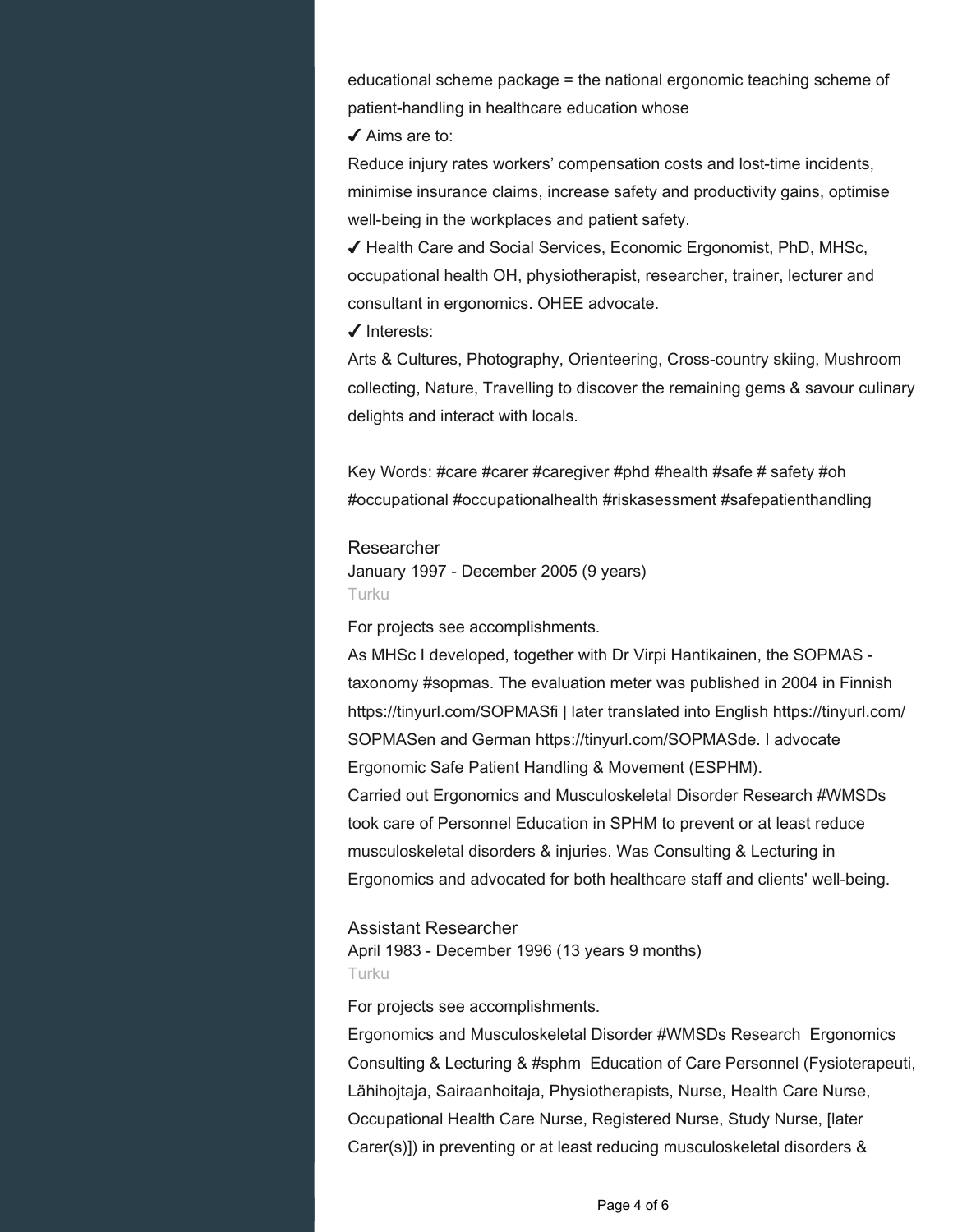educational scheme package = the national ergonomic teaching scheme of patient-handling in healthcare education whose

✔ Aims are to:

Reduce injury rates workers' compensation costs and lost-time incidents, minimise insurance claims, increase safety and productivity gains, optimise well-being in the workplaces and patient safety.

✔ Health Care and Social Services, Economic Ergonomist, PhD, MHSc, occupational health OH, physiotherapist, researcher, trainer, lecturer and consultant in ergonomics. OHEE advocate.

✔ Interests:

Arts & Cultures, Photography, Orienteering, Cross-country skiing, Mushroom collecting, Nature, Travelling to discover the remaining gems & savour culinary delights and interact with locals.

Key Words: #care #carer #caregiver #phd #health #safe # safety #oh #occupational #occupationalhealth #riskasessment #safepatienthandling

#### Researcher

January 1997 - December 2005 (9 years) Turku

For projects see accomplishments.

As MHSc I developed, together with Dr Virpi Hantikainen, the SOPMAS taxonomy #sopmas. The evaluation meter was published in 2004 in Finnish https://tinyurl.com/SOPMASfi | later translated into English https://tinyurl.com/ SOPMASen and German https://tinyurl.com/SOPMASde. I advocate Ergonomic Safe Patient Handling & Movement (ESPHM). Carried out Ergonomics and Musculoskeletal Disorder Research #WMSDs took care of Personnel Education in SPHM to prevent or at least reduce musculoskeletal disorders & injuries. Was Consulting & Lecturing in Ergonomics and advocated for both healthcare staff and clients' well-being.

#### Assistant Researcher

April 1983 - December 1996 (13 years 9 months) Turku

For projects see accomplishments.

Ergonomics and Musculoskeletal Disorder #WMSDs Research Ergonomics Consulting & Lecturing & #sphm Education of Care Personnel (Fysioterapeuti, Lähihojtaja, Sairaanhoitaja, Physiotherapists, Nurse, Health Care Nurse, Occupational Health Care Nurse, Registered Nurse, Study Nurse, [later Carer(s)]) in preventing or at least reducing musculoskeletal disorders &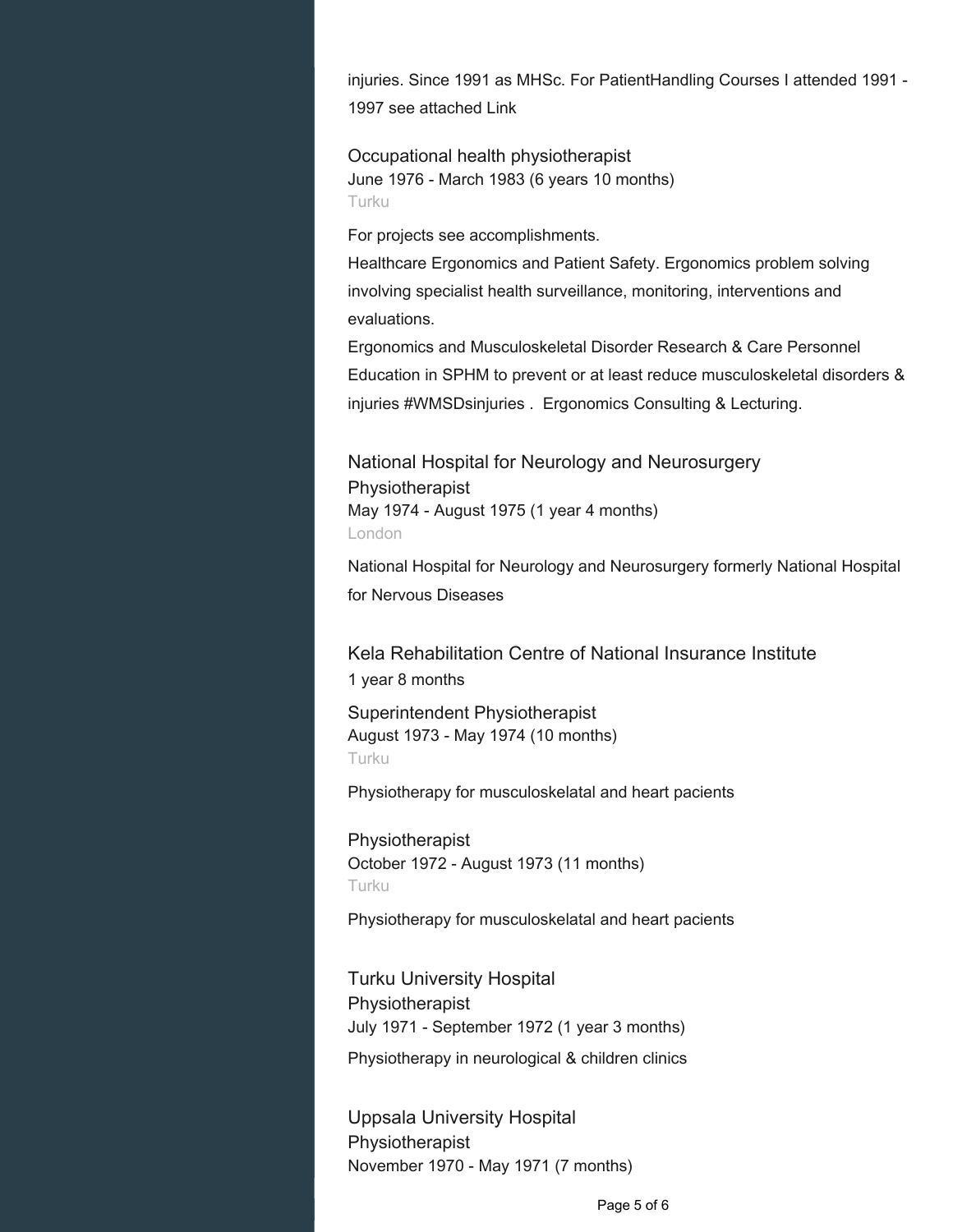injuries. Since 1991 as MHSc. For PatientHandling Courses I attended 1991 - 1997 see attached Link

Occupational health physiotherapist June 1976 - March 1983 (6 years 10 months) Turku

For projects see accomplishments.

Healthcare Ergonomics and Patient Safety. Ergonomics problem solving involving specialist health surveillance, monitoring, interventions and evaluations.

Ergonomics and Musculoskeletal Disorder Research & Care Personnel Education in SPHM to prevent or at least reduce musculoskeletal disorders & injuries #WMSDsinjuries . Ergonomics Consulting & Lecturing.

National Hospital for Neurology and Neurosurgery Physiotherapist May 1974 - August 1975 (1 year 4 months) London

National Hospital for Neurology and Neurosurgery formerly National Hospital for Nervous Diseases

Kela Rehabilitation Centre of National Insurance Institute 1 year 8 months

Superintendent Physiotherapist August 1973 - May 1974 (10 months) Turku

Physiotherapy for musculoskelatal and heart pacients

Physiotherapist October 1972 - August 1973 (11 months) Turku

Physiotherapy for musculoskelatal and heart pacients

Turku University Hospital Physiotherapist July 1971 - September 1972 (1 year 3 months)

Physiotherapy in neurological & children clinics

Uppsala University Hospital Physiotherapist November 1970 - May 1971 (7 months)